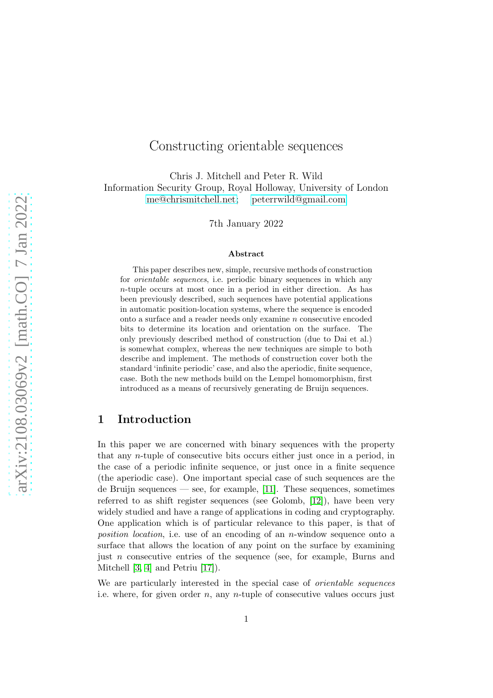# Constructing orientable sequences

Chris J. Mitchell and Peter R. Wild Information Security Group, Royal Holloway, University of London [me@chrismitchell.net;](mailto:me@chrismitchell.net) [peterrwild@gmail.com](mailto:peterrwild@gmail.com)

7th January 2022

#### Abstract

This paper describes new, simple, recursive methods of construction for orientable sequences, i.e. periodic binary sequences in which any n-tuple occurs at most once in a period in either direction. As has been previously described, such sequences have potential applications in automatic position-location systems, where the sequence is encoded onto a surface and a reader needs only examine  $n$  consecutive encoded bits to determine its location and orientation on the surface. The only previously described method of construction (due to Dai et al.) is somewhat complex, whereas the new techniques are simple to both describe and implement. The methods of construction cover both the standard 'infinite periodic' case, and also the aperiodic, finite sequence, case. Both the new methods build on the Lempel homomorphism, first introduced as a means of recursively generating de Bruijn sequences.

## <span id="page-0-0"></span>1 Introduction

In this paper we are concerned with binary sequences with the property that any n-tuple of consecutive bits occurs either just once in a period, in the case of a periodic infinite sequence, or just once in a finite sequence (the aperiodic case). One important special case of such sequences are the de Bruijn sequences — see, for example, [\[11\]](#page-18-0). These sequences, sometimes referred to as shift register sequences (see Golomb, [\[12\]](#page-18-1)), have been very widely studied and have a range of applications in coding and cryptography. One application which is of particular relevance to this paper, is that of position location, i.e. use of an encoding of an n-window sequence onto a surface that allows the location of any point on the surface by examining just n consecutive entries of the sequence (see, for example, Burns and Mitchell [\[3,](#page-18-2) [4\]](#page-18-3) and Petriu [\[17\]](#page-19-0)).

We are particularly interested in the special case of *orientable sequences* i.e. where, for given order n, any n-tuple of consecutive values occurs just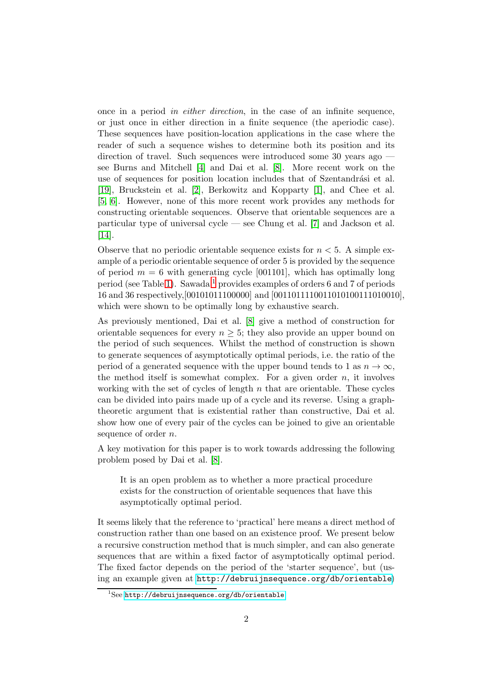once in a period in either direction, in the case of an infinite sequence, or just once in either direction in a finite sequence (the aperiodic case). These sequences have position-location applications in the case where the reader of such a sequence wishes to determine both its position and its direction of travel. Such sequences were introduced some 30 years ago see Burns and Mitchell [\[4\]](#page-18-3) and Dai et al. [\[8\]](#page-18-4). More recent work on the use of sequences for position location includes that of Szentandrási et al. [\[19\]](#page-19-1), Bruckstein et al. [\[2\]](#page-18-5), Berkowitz and Kopparty [\[1\]](#page-18-6), and Chee et al. [\[5,](#page-18-7) [6\]](#page-18-8). However, none of this more recent work provides any methods for constructing orientable sequences. Observe that orientable sequences are a particular type of universal cycle — see Chung et al. [\[7\]](#page-18-9) and Jackson et al. [\[14\]](#page-19-2).

Observe that no periodic orientable sequence exists for  $n < 5$ . A simple example of a periodic orientable sequence of order 5 is provided by the sequence of period  $m = 6$  with generating cycle [001101], which has optimally long period (see Table [1\)](#page-5-0). Sawada<sup>[1](#page-1-0)</sup> provides examples of orders 6 and 7 of periods 16 and 36 respectively,[00101011100000] and [0011011110011010100111010010], which were shown to be optimally long by exhaustive search.

As previously mentioned, Dai et al. [\[8\]](#page-18-4) give a method of construction for orientable sequences for every  $n \geq 5$ ; they also provide an upper bound on the period of such sequences. Whilst the method of construction is shown to generate sequences of asymptotically optimal periods, i.e. the ratio of the period of a generated sequence with the upper bound tends to 1 as  $n \to \infty$ , the method itself is somewhat complex. For a given order  $n$ , it involves working with the set of cycles of length  $n$  that are orientable. These cycles can be divided into pairs made up of a cycle and its reverse. Using a graphtheoretic argument that is existential rather than constructive, Dai et al. show how one of every pair of the cycles can be joined to give an orientable sequence of order *n*.

A key motivation for this paper is to work towards addressing the following problem posed by Dai et al. [\[8\]](#page-18-4).

It is an open problem as to whether a more practical procedure exists for the construction of orientable sequences that have this asymptotically optimal period.

It seems likely that the reference to 'practical' here means a direct method of construction rather than one based on an existence proof. We present below a recursive construction method that is much simpler, and can also generate sequences that are within a fixed factor of asymptotically optimal period. The fixed factor depends on the period of the 'starter sequence', but (using an example given at <http://debruijnsequence.org/db/orientable>)

<span id="page-1-0"></span><sup>&</sup>lt;sup>1</sup>See <http://debruijnsequence.org/db/orientable>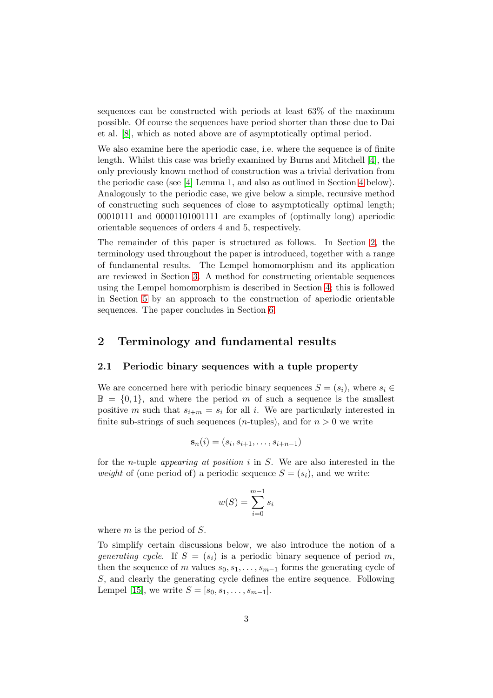sequences can be constructed with periods at least 63% of the maximum possible. Of course the sequences have period shorter than those due to Dai et al. [\[8\]](#page-18-4), which as noted above are of asymptotically optimal period.

We also examine here the aperiodic case, i.e. where the sequence is of finite length. Whilst this case was briefly examined by Burns and Mitchell [\[4\]](#page-18-3), the only previously known method of construction was a trivial derivation from the periodic case (see [\[4\]](#page-18-3) Lemma 1, and also as outlined in Section [4](#page-7-0) below). Analogously to the periodic case, we give below a simple, recursive method of constructing such sequences of close to asymptotically optimal length; 00010111 and 00001101001111 are examples of (optimally long) aperiodic orientable sequences of orders 4 and 5, respectively.

The remainder of this paper is structured as follows. In Section [2,](#page-2-0) the terminology used throughout the paper is introduced, together with a range of fundamental results. The Lempel homomorphism and its application are reviewed in Section [3.](#page-5-1) A method for constructing orientable sequences using the Lempel homomorphism is described in Section [4;](#page-7-0) this is followed in Section [5](#page-12-0) by an approach to the construction of aperiodic orientable sequences. The paper concludes in Section [6.](#page-17-0)

### <span id="page-2-0"></span>2 Terminology and fundamental results

#### 2.1 Periodic binary sequences with a tuple property

We are concerned here with periodic binary sequences  $S = (s_i)$ , where  $s_i \in$  $\mathbb{B} = \{0, 1\}$ , and where the period m of such a sequence is the smallest positive m such that  $s_{i+m} = s_i$  for all i. We are particularly interested in finite sub-strings of such sequences (*n*-tuples), and for  $n > 0$  we write

$$
\mathbf{s}_n(i) = (s_i, s_{i+1}, \dots, s_{i+n-1})
$$

for the *n*-tuple *appearing at position i* in  $S$ . We are also interested in the weight of (one period of) a periodic sequence  $S = (s_i)$ , and we write:

$$
w(S) = \sum_{i=0}^{m-1} s_i
$$

where  $m$  is the period of  $S$ .

To simplify certain discussions below, we also introduce the notion of a generating cycle. If  $S = (s_i)$  is a periodic binary sequence of period m, then the sequence of m values  $s_0, s_1, \ldots, s_{m-1}$  forms the generating cycle of S, and clearly the generating cycle defines the entire sequence. Following Lempel [\[15\]](#page-19-3), we write  $S = [s_0, s_1, \ldots, s_{m-1}].$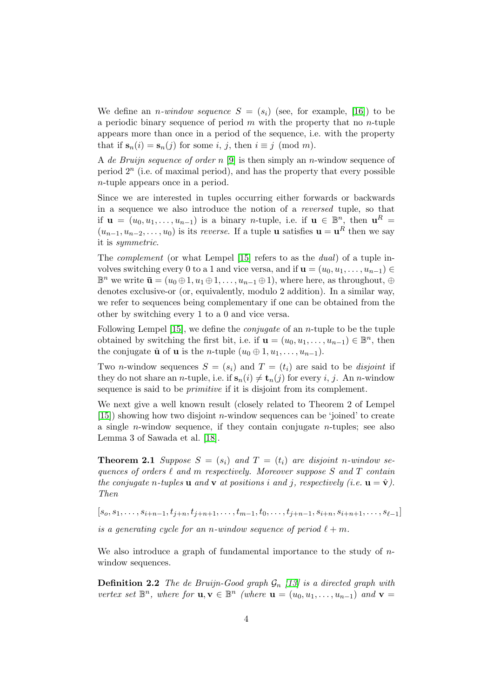We define an *n*-window sequence  $S = (s_i)$  (see, for example, [\[16\]](#page-19-4)) to be a periodic binary sequence of period  $m$  with the property that no  $n$ -tuple appears more than once in a period of the sequence, i.e. with the property that if  $s_n(i) = s_n(j)$  for some i, j, then  $i \equiv j \pmod{m}$ .

A de Bruijn sequence of order n [\[9\]](#page-18-10) is then simply an n-window sequence of period  $2<sup>n</sup>$  (i.e. of maximal period), and has the property that every possible n-tuple appears once in a period.

Since we are interested in tuples occurring either forwards or backwards in a sequence we also introduce the notion of a reversed tuple, so that if  $\mathbf{u} = (u_0, u_1, \dots, u_{n-1})$  is a binary *n*-tuple, i.e. if  $\mathbf{u} \in \mathbb{B}^n$ , then  $\mathbf{u}^R =$  $(u_{n-1}, u_{n-2}, \ldots, u_0)$  is its *reverse*. If a tuple **u** satisfies **u** = **u**<sup>R</sup> then we say it is symmetric.

The complement (or what Lempel [\[15\]](#page-19-3) refers to as the dual) of a tuple involves switching every 0 to a 1 and vice versa, and if  $\mathbf{u} = (u_0, u_1, \dots, u_{n-1}) \in$  $\mathbb{B}^n$  we write  $\bar{\mathbf{u}} = (u_0 \oplus 1, u_1 \oplus 1, \dots, u_{n-1} \oplus 1)$ , where here, as throughout,  $\oplus$ denotes exclusive-or (or, equivalently, modulo 2 addition). In a similar way, we refer to sequences being complementary if one can be obtained from the other by switching every 1 to a 0 and vice versa.

Following Lempel [\[15\]](#page-19-3), we define the conjugate of an n-tuple to be the tuple obtained by switching the first bit, i.e. if  $\mathbf{u} = (u_0, u_1, \dots, u_{n-1}) \in \mathbb{B}^n$ , then the conjugate  $\hat{\mathbf{u}}$  of **u** is the *n*-tuple  $(u_0 \oplus 1, u_1, \ldots, u_{n-1})$ .

Two *n*-window sequences  $S = (s_i)$  and  $T = (t_i)$  are said to be *disjoint* if they do not share an *n*-tuple, i.e. if  $\mathbf{s}_n(i) \neq \mathbf{t}_n(j)$  for every i, j. An *n*-window sequence is said to be primitive if it is disjoint from its complement.

We next give a well known result (closely related to Theorem 2 of Lempel  $[15]$ ) showing how two disjoint *n*-window sequences can be 'joined' to create a single *n*-window sequence, if they contain conjugate *n*-tuples; see also Lemma 3 of Sawada et al. [\[18\]](#page-19-5).

<span id="page-3-0"></span>**Theorem 2.1** Suppose  $S = (s_i)$  and  $T = (t_i)$  are disjoint n-window sequences of orders  $\ell$  and m respectively. Moreover suppose S and T contain the conjugate n-tuples **u** and **v** at positions i and j, respectively (i.e.  $\mathbf{u} = \hat{\mathbf{v}}$ ). Then

 $[s_0, s_1, \ldots, s_{i+n-1}, t_{j+n}, t_{j+n+1}, \ldots, t_{m-1}, t_0, \ldots, t_{j+n-1}, s_{i+n}, s_{i+n+1}, \ldots, s_{\ell-1}]$ 

is a generating cycle for an n-window sequence of period  $\ell + m$ .

We also introduce a graph of fundamental importance to the study of  $n$ window sequences.

**Definition 2.2** The de Bruijn-Good graph  $\mathcal{G}_n$  [\[13\]](#page-19-6) is a directed graph with vertex set  $\mathbb{B}^n$ , where for  $\mathbf{u}, \mathbf{v} \in \mathbb{B}^n$  (where  $\mathbf{u} = (u_0, u_1, \dots, u_{n-1})$  and  $\mathbf{v} =$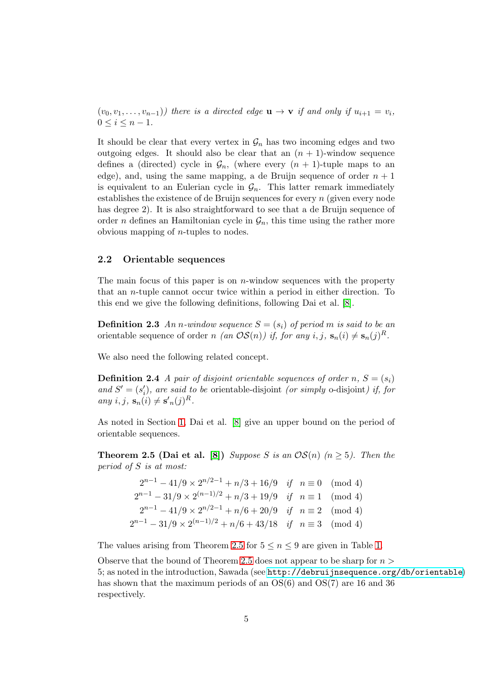$(v_0, v_1, \ldots, v_{n-1})$  there is a directed edge  $\mathbf{u} \to \mathbf{v}$  if and only if  $u_{i+1} = v_i$ ,  $0 \leq i \leq n-1$ .

It should be clear that every vertex in  $\mathcal{G}_n$  has two incoming edges and two outgoing edges. It should also be clear that an  $(n + 1)$ -window sequence defines a (directed) cycle in  $\mathcal{G}_n$ , (where every  $(n + 1)$ -tuple maps to an edge), and, using the same mapping, a de Bruijn sequence of order  $n + 1$ is equivalent to an Eulerian cycle in  $\mathcal{G}_n$ . This latter remark immediately establishes the existence of de Bruijn sequences for every n (given every node has degree 2). It is also straightforward to see that a de Bruijn sequence of order *n* defines an Hamiltonian cycle in  $\mathcal{G}_n$ , this time using the rather more obvious mapping of  $n$ -tuples to nodes.

### <span id="page-4-1"></span>2.2 Orientable sequences

The main focus of this paper is on *n*-window sequences with the property that an n-tuple cannot occur twice within a period in either direction. To this end we give the following definitions, following Dai et al. [\[8\]](#page-18-4).

**Definition 2.3** An n-window sequence  $S = (s_i)$  of period m is said to be an orientable sequence of order n (an  $OS(n)$ ) if, for any i, j,  $\mathbf{s}_n(i) \neq \mathbf{s}_n(j)^R$ .

We also need the following related concept.

**Definition 2.4** A pair of disjoint orientable sequences of order n,  $S = (s_i)$ and  $S' = (s'_i)$ , are said to be orientable-disjoint (or simply o-disjoint) if, for any i, j,  $\mathbf{s}_n(i) \neq \mathbf{s'}_n(j)^R$ .

<span id="page-4-0"></span>As noted in Section [1,](#page-0-0) Dai et al. [\[8\]](#page-18-4) give an upper bound on the period of orientable sequences.

**Theorem 2.5 (Dai et al.** [\[8\]](#page-18-4)) Suppose S is an  $OS(n)$  ( $n \ge 5$ ). Then the period of S is at most:

> $2^{n-1} - 41/9 \times 2^{n/2-1} + n/3 + 16/9$  if  $n \equiv 0 \pmod{4}$  $2^{n-1} - 31/9 \times 2^{(n-1)/2} + n/3 + 19/9$  if  $n \equiv 1 \pmod{4}$  $2^{n-1} - 41/9 \times 2^{n/2-1} + n/6 + 20/9$  if  $n \equiv 2 \pmod{4}$  $2^{n-1} - 31/9 \times 2^{(n-1)/2} + n/6 + 43/18$  if  $n \equiv 3 \pmod{4}$

The values arising from Theorem [2.5](#page-4-0) for  $5 \le n \le 9$  are given in Table [1.](#page-5-0)

Observe that the bound of Theorem [2.5](#page-4-0) does not appear to be sharp for  $n >$ 5; as noted in the introduction, Sawada (see <http://debruijnsequence.org/db/orientable>) has shown that the maximum periods of an  $OS(6)$  and  $OS(7)$  are 16 and 36 respectively.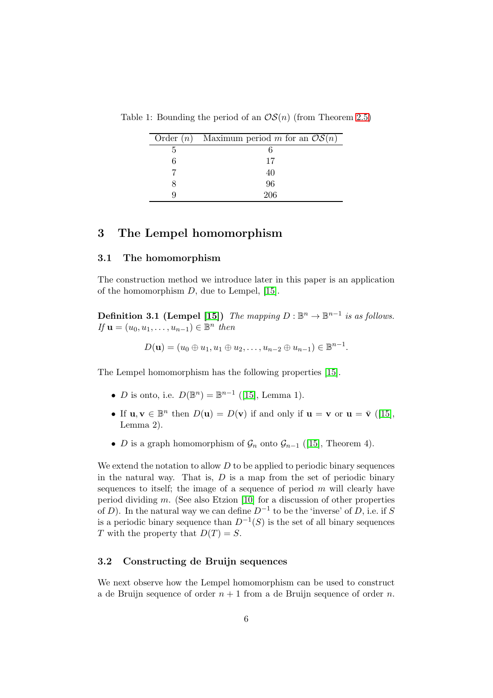<span id="page-5-0"></span>

| Order ( <i>n</i> ) Maximum period <i>m</i> for an $OS(n)$ |
|-----------------------------------------------------------|
|                                                           |
| 17                                                        |
| 40                                                        |
| 96                                                        |
| 206                                                       |

Table 1: Bounding the period of an  $OS(n)$  (from Theorem [2.5\)](#page-4-0)

### <span id="page-5-1"></span>3 The Lempel homomorphism

#### 3.1 The homomorphism

The construction method we introduce later in this paper is an application of the homomorphism D, due to Lempel, [\[15\]](#page-19-3).

**Definition 3.1 (Lempel [\[15\]](#page-19-3))** The mapping  $D : \mathbb{B}^n \to \mathbb{B}^{n-1}$  is as follows. If  $\mathbf{u} = (u_0, u_1, \ldots, u_{n-1}) \in \mathbb{B}^n$  then

 $D(\mathbf{u}) = (u_0 \oplus u_1, u_1 \oplus u_2, \dots, u_{n-2} \oplus u_{n-1}) \in \mathbb{B}^{n-1}.$ 

The Lempel homomorphism has the following properties [\[15\]](#page-19-3).

- *D* is onto, i.e.  $D(\mathbb{B}^n) = \mathbb{B}^{n-1}$  ([\[15\]](#page-19-3), Lemma 1).
- If  $\mathbf{u}, \mathbf{v} \in \mathbb{B}^n$  then  $D(\mathbf{u}) = D(\mathbf{v})$  if and only if  $\mathbf{u} = \mathbf{v}$  or  $\mathbf{u} = \bar{\mathbf{v}}$  ([\[15\]](#page-19-3), Lemma 2).
- D is a graph homomorphism of  $\mathcal{G}_n$  onto  $\mathcal{G}_{n-1}$  ([\[15\]](#page-19-3), Theorem 4).

We extend the notation to allow  $D$  to be applied to periodic binary sequences in the natural way. That is,  $D$  is a map from the set of periodic binary sequences to itself; the image of a sequence of period  $m$  will clearly have period dividing  $m$ . (See also Etzion [\[10\]](#page-18-11) for a discussion of other properties of D). In the natural way we can define  $D^{-1}$  to be the 'inverse' of D, i.e. if S is a periodic binary sequence than  $D^{-1}(S)$  is the set of all binary sequences T with the property that  $D(T) = S$ .

#### 3.2 Constructing de Bruijn sequences

We next observe how the Lempel homomorphism can be used to construct a de Bruijn sequence of order  $n + 1$  from a de Bruijn sequence of order n.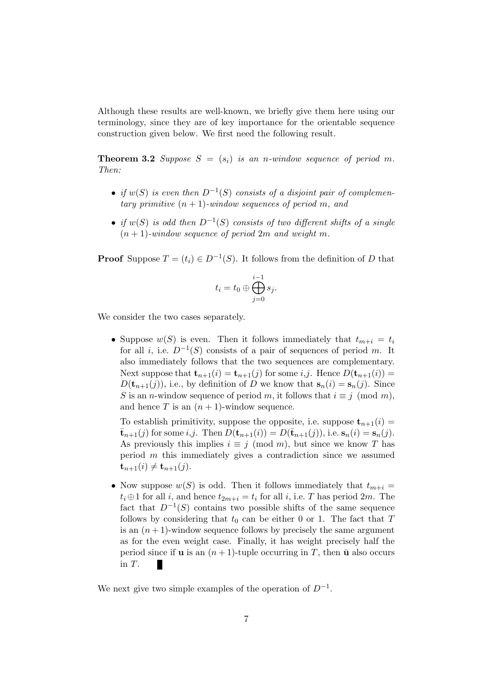<span id="page-6-0"></span>Although these results are well-known, we briefly give them here using our terminology, since they are of key importance for the orientable sequence construction given below. We first need the following result.

**Theorem 3.2** Suppose  $S = (s_i)$  is an n-window sequence of period m. Then:

- if  $w(S)$  is even then  $D^{-1}(S)$  consists of a disjoint pair of complementary primitive  $(n + 1)$ -window sequences of period m, and
- if  $w(S)$  is odd then  $D^{-1}(S)$  consists of two different shifts of a single  $(n + 1)$ -window sequence of period 2m and weight m.

**Proof** Suppose  $T = (t_i) \in D^{-1}(S)$ . It follows from the definition of D that

$$
t_i=t_0\oplus\bigoplus_{j=0}^{i-1}s_j.
$$

We consider the two cases separately.

• Suppose  $w(S)$  is even. Then it follows immediately that  $t_{m+i} = t_i$ for all *i*, i.e.  $D^{-1}(S)$  consists of a pair of sequences of period m. It also immediately follows that the two sequences are complementary. Next suppose that  $\mathbf{t}_{n+1}(i) = \mathbf{t}_{n+1}(j)$  for some *i*,*j*. Hence  $D(\mathbf{t}_{n+1}(i)) =$  $D(\mathbf{t}_{n+1}(j))$ , i.e., by definition of D we know that  $\mathbf{s}_n(i) = \mathbf{s}_n(j)$ . Since S is an *n*-window sequence of period m, it follows that  $i \equiv j \pmod{m}$ , and hence T is an  $(n + 1)$ -window sequence.

To establish primitivity, suppose the opposite, i.e. suppose  $t_{n+1}(i)$  =  $\bar{\mathbf{t}}_{n+1}(j)$  for some i,j. Then  $D(\mathbf{t}_{n+1}(i)) = D(\bar{\mathbf{t}}_{n+1}(j))$ , i.e.  $\mathbf{s}_n(i) = \mathbf{s}_n(j)$ . As previously this implies  $i \equiv j \pmod{m}$ , but since we know T has period m this immediately gives a contradiction since we assumed  ${\bf t}_{n+1}(i) \neq {\bf t}_{n+1}(j).$ 

• Now suppose  $w(S)$  is odd. Then it follows immediately that  $t_{m+i} =$  $t_i \oplus 1$  for all i, and hence  $t_{2m+i} = t_i$  for all i, i.e. T has period  $2m$ . The fact that  $D^{-1}(S)$  contains two possible shifts of the same sequence follows by considering that  $t_0$  can be either 0 or 1. The fact that  $T$ is an  $(n+1)$ -window sequence follows by precisely the same argument as for the even weight case. Finally, it has weight precisely half the period since if **u** is an  $(n+1)$ -tuple occurring in T, then  $\bar{u}$  also occurs in T. п

We next give two simple examples of the operation of  $D^{-1}$ .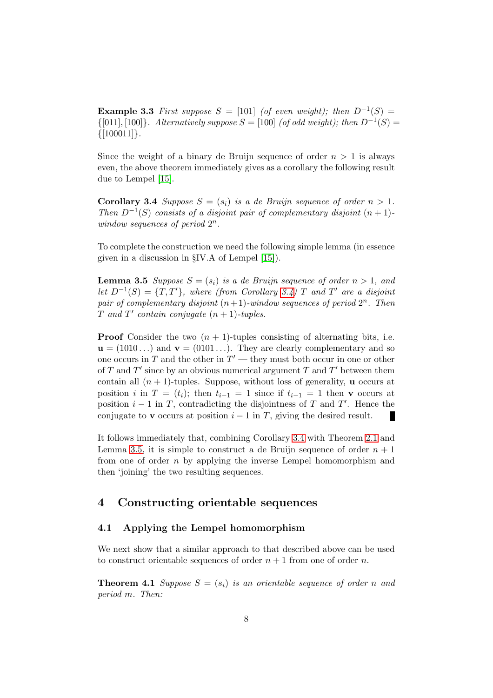**Example 3.3** First suppose  $S = [101]$  (of even weight); then  $D^{-1}(S) =$  $\{[011], [100]\}$ . Alternatively suppose  $S = [100]$  (of odd weight); then  $D^{-1}(S) =$  $\{[100011]\}.$ 

<span id="page-7-1"></span>Since the weight of a binary de Bruijn sequence of order  $n > 1$  is always even, the above theorem immediately gives as a corollary the following result due to Lempel [\[15\]](#page-19-3).

**Corollary 3.4** Suppose  $S = (s_i)$  is a de Bruijn sequence of order  $n > 1$ . Then  $D^{-1}(S)$  consists of a disjoint pair of complementary disjoint  $(n + 1)$ window sequences of period  $2^n$ .

<span id="page-7-2"></span>To complete the construction we need the following simple lemma (in essence given in a discussion in §IV.A of Lempel [\[15\]](#page-19-3)).

**Lemma 3.5** Suppose  $S = (s_i)$  is a de Bruijn sequence of order  $n > 1$ , and let  $D^{-1}(S) = \{T, T'\}$ , where (from Corollary [3.4\)](#page-7-1) T and T' are a disjoint pair of complementary disjoint  $(n+1)$ -window sequences of period  $2^n$ . Then T and  $T'$  contain conjugate  $(n + 1)$ -tuples.

**Proof** Consider the two  $(n + 1)$ -tuples consisting of alternating bits, i.e.  $\mathbf{u} = (1010\dots)$  and  $\mathbf{v} = (0101\dots)$ . They are clearly complementary and so one occurs in T and the other in  $T'$  — they must both occur in one or other of T and T' since by an obvious numerical argument T and T' between them contain all  $(n + 1)$ -tuples. Suppose, without loss of generality, **u** occurs at position i in  $T = (t_i)$ ; then  $t_{i-1} = 1$  since if  $t_{i-1} = 1$  then v occurs at position  $i - 1$  in T, contradicting the disjointness of T and T'. Hence the conjugate to v occurs at position  $i - 1$  in T, giving the desired result. п

It follows immediately that, combining Corollary [3.4](#page-7-1) with Theorem [2.1](#page-3-0) and Lemma [3.5,](#page-7-2) it is simple to construct a de Bruijn sequence of order  $n + 1$ from one of order  $n$  by applying the inverse Lempel homomorphism and then 'joining' the two resulting sequences.

### <span id="page-7-0"></span>4 Constructing orientable sequences

### 4.1 Applying the Lempel homomorphism

<span id="page-7-3"></span>We next show that a similar approach to that described above can be used to construct orientable sequences of order  $n + 1$  from one of order n.

**Theorem 4.1** Suppose  $S = (s_i)$  is an orientable sequence of order n and period m. Then: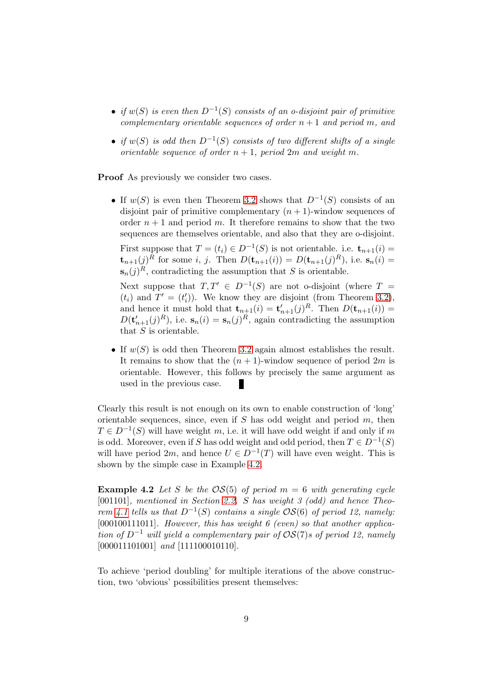- if  $w(S)$  is even then  $D^{-1}(S)$  consists of an o-disjoint pair of primitive complementary orientable sequences of order  $n + 1$  and period m, and
- if  $w(S)$  is odd then  $D^{-1}(S)$  consists of two different shifts of a single orientable sequence of order  $n + 1$ , period  $2m$  and weight m.

Proof As previously we consider two cases.

• If  $w(S)$  is even then Theorem [3.2](#page-6-0) shows that  $D^{-1}(S)$  consists of an disjoint pair of primitive complementary  $(n + 1)$ -window sequences of order  $n + 1$  and period m. It therefore remains to show that the two sequences are themselves orientable, and also that they are o-disjoint.

First suppose that  $T = (t_i) \in D^{-1}(S)$  is not orientable. i.e.  $\mathbf{t}_{n+1}(i) =$  $\mathbf{t}_{n+1}(j)^R$  for some i, j. Then  $D(\mathbf{t}_{n+1}(i)) = D(\mathbf{t}_{n+1}(j)^R)$ , i.e.  $\mathbf{s}_n(i) =$  $\mathbf{s}_n(j)^R$ , contradicting the assumption that S is orientable.

Next suppose that  $T, T' \in D^{-1}(S)$  are not o-disjoint (where  $T =$  $(t_i)$  and  $T' = (t'_i)$ ). We know they are disjoint (from Theorem [3.2\)](#page-6-0), and hence it must hold that  $\mathbf{t}_{n+1}(i) = \mathbf{t}'_{n+1}(j)^R$ . Then  $D(\mathbf{t}_{n+1}(i)) =$  $D(\mathbf{t}_{n+1}'(j)^R)$ , i.e.  $\mathbf{s}_n(i) = \mathbf{s}_n(j)^R$ , again contradicting the assumption that  $S$  is orientable.

• If  $w(S)$  is odd then Theorem [3.2](#page-6-0) again almost establishes the result. It remains to show that the  $(n + 1)$ -window sequence of period  $2m$  is orientable. However, this follows by precisely the same argument as used in the previous case.

Clearly this result is not enough on its own to enable construction of 'long' orientable sequences, since, even if  $S$  has odd weight and period  $m$ , then  $T \in D^{-1}(S)$  will have weight m, i.e. it will have odd weight if and only if m is odd. Moreover, even if S has odd weight and odd period, then  $T \in D^{-1}(S)$ will have period  $2m$ , and hence  $U \in D^{-1}(T)$  will have even weight. This is shown by the simple case in Example [4.2.](#page-8-0)

<span id="page-8-0"></span>**Example 4.2** Let S be the  $OS(5)$  of period  $m = 6$  with generating cycle [001101], mentioned in Section [2.2.](#page-4-1) S has weight 3 (odd) and hence Theo-rem [4.1](#page-7-3) tells us that  $D^{-1}(S)$  contains a single  $\mathcal{OS}(6)$  of period 12, namely: [000100111011]. However, this has weight  $6$  (even) so that another application of  $D^{-1}$  will yield a complementary pair of  $OS(7)$ s of period 12, namely [000011101001] and [111100010110].

To achieve 'period doubling' for multiple iterations of the above construction, two 'obvious' possibilities present themselves: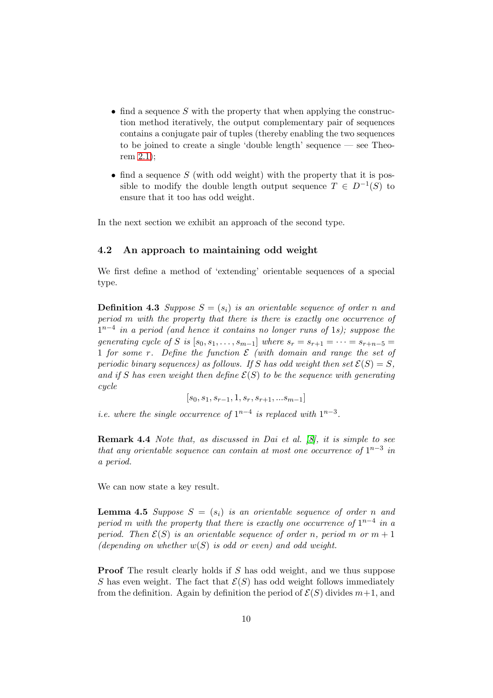- find a sequence S with the property that when applying the construction method iteratively, the output complementary pair of sequences contains a conjugate pair of tuples (thereby enabling the two sequences to be joined to create a single 'double length' sequence — see Theorem [2.1\)](#page-3-0);
- find a sequence  $S$  (with odd weight) with the property that it is possible to modify the double length output sequence  $T \in D^{-1}(S)$  to ensure that it too has odd weight.

In the next section we exhibit an approach of the second type.

### 4.2 An approach to maintaining odd weight

We first define a method of 'extending' orientable sequences of a special type.

**Definition 4.3** Suppose  $S = (s_i)$  is an orientable sequence of order n and period m with the property that there is there is exactly one occurrence of  $1^{n-4}$  in a period (and hence it contains no longer runs of 1s); suppose the generating cycle of S is  $[s_0, s_1, \ldots, s_{m-1}]$  where  $s_r = s_{r+1} = \cdots = s_{r+n-5}$ 1 for some r. Define the function  $\mathcal E$  (with domain and range the set of periodic binary sequences) as follows. If S has odd weight then set  $\mathcal{E}(S) = S$ , and if S has even weight then define  $\mathcal{E}(S)$  to be the sequence with generating cycle

 $[s_0, s_1, s_{r-1}, 1, s_r, s_{r+1}, ... s_{m-1}]$ 

*i.e.* where the single occurrence of  $1^{n-4}$  is replaced with  $1^{n-3}$ .

Remark 4.4 Note that, as discussed in Dai et al. [\[8\]](#page-18-4), it is simple to see that any orientable sequence can contain at most one occurrence of  $1^{n-3}$  in a period.

<span id="page-9-0"></span>We can now state a key result.

**Lemma 4.5** Suppose  $S = (s_i)$  is an orientable sequence of order n and period m with the property that there is exactly one occurrence of  $1^{n-4}$  in a period. Then  $\mathcal{E}(S)$  is an orientable sequence of order n, period m or  $m+1$ (depending on whether  $w(S)$  is odd or even) and odd weight.

**Proof** The result clearly holds if S has odd weight, and we thus suppose S has even weight. The fact that  $\mathcal{E}(S)$  has odd weight follows immediately from the definition. Again by definition the period of  $\mathcal{E}(S)$  divides  $m+1$ , and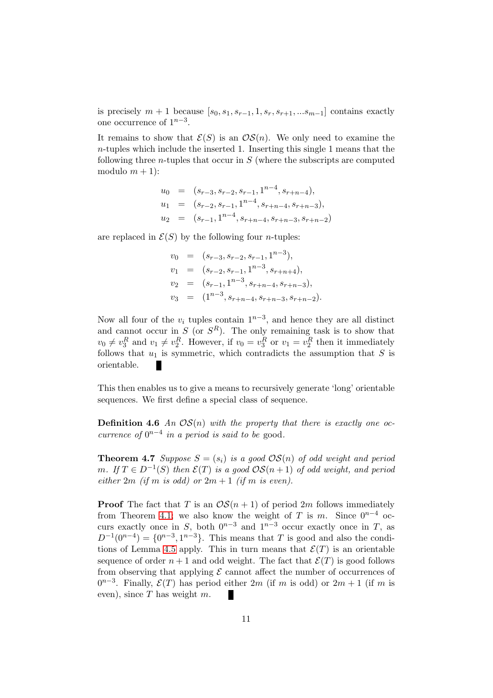is precisely  $m + 1$  because  $[s_0, s_1, s_{r-1}, 1, s_r, s_{r+1}, ... s_{m-1}]$  contains exactly one occurrence of  $1^{n-3}$ .

It remains to show that  $\mathcal{E}(S)$  is an  $\mathcal{OS}(n)$ . We only need to examine the n-tuples which include the inserted 1. Inserting this single 1 means that the following three *n*-tuples that occur in  $S$  (where the subscripts are computed modulo  $m + 1$ :

$$
u_0 = (s_{r-3}, s_{r-2}, s_{r-1}, 1^{n-4}, s_{r+n-4}),
$$
  
\n
$$
u_1 = (s_{r-2}, s_{r-1}, 1^{n-4}, s_{r+n-4}, s_{r+n-3}),
$$
  
\n
$$
u_2 = (s_{r-1}, 1^{n-4}, s_{r+n-4}, s_{r+n-3}, s_{r+n-2})
$$

are replaced in  $\mathcal{E}(S)$  by the following four *n*-tuples:

$$
v_0 = (s_{r-3}, s_{r-2}, s_{r-1}, 1^{n-3}),
$$
  
\n
$$
v_1 = (s_{r-2}, s_{r-1}, 1^{n-3}, s_{r+n+4}),
$$
  
\n
$$
v_2 = (s_{r-1}, 1^{n-3}, s_{r+n-4}, s_{r+n-3}),
$$
  
\n
$$
v_3 = (1^{n-3}, s_{r+n-4}, s_{r+n-3}, s_{r+n-2}).
$$

Now all four of the  $v_i$  tuples contain  $1^{n-3}$ , and hence they are all distinct and cannot occur in S (or  $S<sup>R</sup>$ ). The only remaining task is to show that  $v_0 \neq v_3^R$  and  $v_1 \neq v_2^R$ . However, if  $v_0 = v_3^R$  or  $v_1 = v_2^R$  then it immediately follows that  $u_1$  is symmetric, which contradicts the assumption that S is orientable.

This then enables us to give a means to recursively generate 'long' orientable sequences. We first define a special class of sequence.

**Definition 4.6** An  $OS(n)$  with the property that there is exactly one occurrence of  $0^{n-4}$  in a period is said to be good.

**Theorem 4.7** Suppose  $S = (s_i)$  is a good  $OS(n)$  of odd weight and period m. If  $T ∈ D^{-1}(S)$  then  $\mathcal{E}(T)$  is a good  $\mathcal{OS}(n+1)$  of odd weight, and period either 2m (if m is odd) or  $2m + 1$  (if m is even).

**Proof** The fact that T is an  $OS(n + 1)$  of period 2m follows immediately from Theorem [4.1;](#page-7-3) we also know the weight of T is m. Since  $0^{n-4}$  occurs exactly once in S, both  $0^{n-3}$  and  $1^{n-3}$  occur exactly once in T, as  $D^{-1}(0^{n-4}) = \{0^{n-3}, 1^{n-3}\}.$  This means that T is good and also the condi-tions of Lemma [4.5](#page-9-0) apply. This in turn means that  $\mathcal{E}(T)$  is an orientable sequence of order  $n+1$  and odd weight. The fact that  $\mathcal{E}(T)$  is good follows from observing that applying  $\mathcal E$  cannot affect the number of occurrences of  $0^{n-3}$ . Finally,  $\mathcal{E}(T)$  has period either 2m (if m is odd) or 2m + 1 (if m is even), since  $T$  has weight  $m$ . г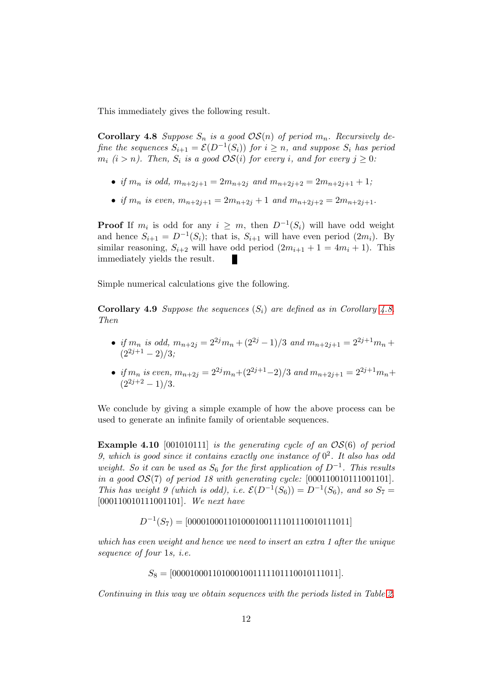<span id="page-11-0"></span>This immediately gives the following result.

**Corollary 4.8** Suppose  $S_n$  is a good  $OS(n)$  of period  $m_n$ . Recursively define the sequences  $S_{i+1} = \mathcal{E}(D^{-1}(S_i))$  for  $i \geq n$ , and suppose  $S_i$  has period  $m_i$  (i > n). Then,  $S_i$  is a good  $\mathcal{OS}(i)$  for every i, and for every  $j \geq 0$ :

- if  $m_n$  is odd,  $m_{n+2j+1} = 2m_{n+2j}$  and  $m_{n+2j+2} = 2m_{n+2j+1} + 1$ ;
- if  $m_n$  is even,  $m_{n+2j+1} = 2m_{n+2j} + 1$  and  $m_{n+2j+2} = 2m_{n+2j+1}$ .

**Proof** If  $m_i$  is odd for any  $i \geq m$ , then  $D^{-1}(S_i)$  will have odd weight and hence  $S_{i+1} = D^{-1}(S_i)$ ; that is,  $S_{i+1}$  will have even period  $(2m_i)$ . By similar reasoning,  $S_{i+2}$  will have odd period  $(2m_{i+1} + 1 = 4m_i + 1)$ . This immediately yields the result.

Simple numerical calculations give the following.

**Corollary 4.9** Suppose the sequences  $(S_i)$  are defined as in Corollary [4.8.](#page-11-0) Then

- if  $m_n$  is odd,  $m_{n+2j} = 2^{2j}m_n + (2^{2j} 1)/3$  and  $m_{n+2j+1} = 2^{2j+1}m_n +$  $(2^{2j+1} - 2)/3$ ;
- if  $m_n$  is even,  $m_{n+2j} = 2^{2j}m_n+(2^{2j+1}-2)/3$  and  $m_{n+2j+1} = 2^{2j+1}m_n+1$  $(2^{2j+2}-1)/3$ .

<span id="page-11-1"></span>We conclude by giving a simple example of how the above process can be used to generate an infinite family of orientable sequences.

**Example 4.10** [001010111] is the generating cycle of an  $OS(6)$  of period 9, which is good since it contains exactly one instance of  $0^2$ . It also has odd weight. So it can be used as  $S_6$  for the first application of  $D^{-1}$ . This results in a good  $OS(7)$  of period 18 with generating cycle:  $[00011001011001101]$ . This has weight 9 (which is odd), i.e.  $\mathcal{E}(D^{-1}(S_6)) = D^{-1}(S_6)$ , and so  $S_7 =$ [000110010111001101]. We next have

 $D^{-1}(S_7) = [000010001101000100111101110010111011]$ 

which has even weight and hence we need to insert an extra 1 after the unique sequence of four 1s, i.e.

 $S_8 = [0000100011010001001111101110010111011].$ 

Continuing in this way we obtain sequences with the periods listed in Table [2.](#page-12-1)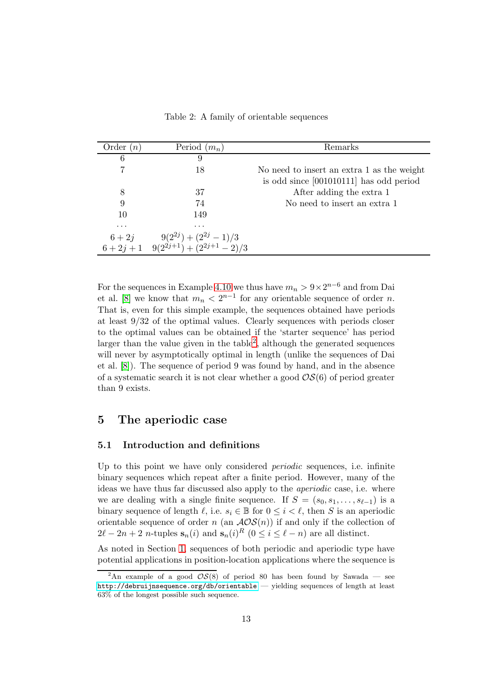| Order $(n)$  | Period $(m_n)$                   | Remarks                                    |
|--------------|----------------------------------|--------------------------------------------|
| 6            | 9                                |                                            |
|              | 18                               | No need to insert an extra 1 as the weight |
|              |                                  | is odd since [001010111] has odd period    |
| 8            | 37                               | After adding the extra 1                   |
| 9            | 74                               | No need to insert an extra 1               |
| 10           | 149                              |                                            |
| $\cdots$     | $\cdots$                         |                                            |
| $6+2j$       | $9(2^{2j}) + (2^{2j} - 1)/3$     |                                            |
| $6 + 2j + 1$ | $9(2^{2j+1}) + (2^{2j+1} - 2)/3$ |                                            |

<span id="page-12-1"></span>Table 2: A family of orientable sequences

For the sequences in Example [4.10](#page-11-1) we thus have  $m_n > 9 \times 2^{n-6}$  and from Dai et al. [\[8\]](#page-18-4) we know that  $m_n < 2^{n-1}$  for any orientable sequence of order n. That is, even for this simple example, the sequences obtained have periods at least 9/32 of the optimal values. Clearly sequences with periods closer to the optimal values can be obtained if the 'starter sequence' has period larger than the value given in the table<sup>[2](#page-12-2)</sup>, although the generated sequences will never by asymptotically optimal in length (unlike the sequences of Dai et al. [\[8\]](#page-18-4)). The sequence of period 9 was found by hand, and in the absence of a systematic search it is not clear whether a good  $OS(6)$  of period greater than 9 exists.

### <span id="page-12-0"></span>5 The aperiodic case

#### 5.1 Introduction and definitions

Up to this point we have only considered periodic sequences, i.e. infinite binary sequences which repeat after a finite period. However, many of the ideas we have thus far discussed also apply to the aperiodic case, i.e. where we are dealing with a single finite sequence. If  $S = (s_0, s_1, \ldots, s_{\ell-1})$  is a binary sequence of length  $\ell$ , i.e.  $s_i \in \mathbb{B}$  for  $0 \leq i \leq \ell$ , then S is an aperiodic orientable sequence of order n (an  $AOS(n)$ ) if and only if the collection of  $2\ell - 2n + 2$  *n*-tuples  $\mathbf{s}_n(i)$  and  $\mathbf{s}_n(i)^R$   $(0 \le i \le \ell - n)$  are all distinct.

As noted in Section [1,](#page-0-0) sequences of both periodic and aperiodic type have potential applications in position-location applications where the sequence is

<span id="page-12-2"></span><sup>&</sup>lt;sup>2</sup>An example of a good  $\mathcal{OS}(8)$  of period 80 has been found by Sawada — see <http://debruijnsequence.org/db/orientable> — yielding sequences of length at least 63% of the longest possible such sequence.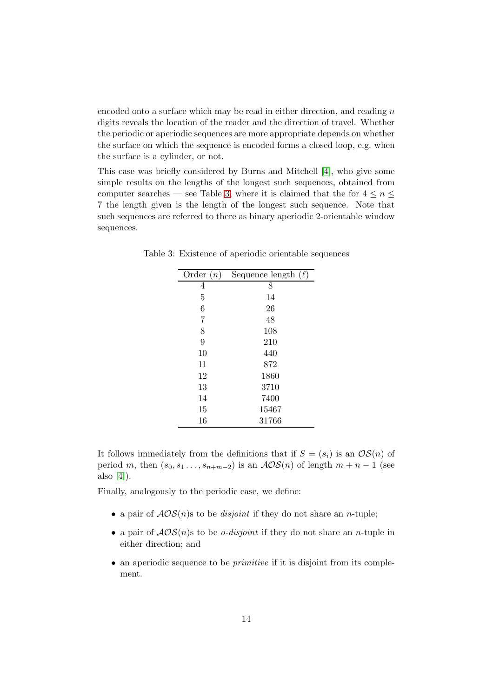encoded onto a surface which may be read in either direction, and reading  $n$ digits reveals the location of the reader and the direction of travel. Whether the periodic or aperiodic sequences are more appropriate depends on whether the surface on which the sequence is encoded forms a closed loop, e.g. when the surface is a cylinder, or not.

This case was briefly considered by Burns and Mitchell [\[4\]](#page-18-3), who give some simple results on the lengths of the longest such sequences, obtained from computer searches — see Table [3,](#page-13-0) where it is claimed that the for  $4 \leq n \leq$ 7 the length given is the length of the longest such sequence. Note that such sequences are referred to there as binary aperiodic 2-orientable window sequences.

<span id="page-13-0"></span>

| Order $(n)$ | Sequence length $(\ell)$ |
|-------------|--------------------------|
| 4           | 8                        |
| 5           | 14                       |
| 6           | 26                       |
| 7           | 48                       |
| 8           | 108                      |
| 9           | 210                      |
| 10          | 440                      |
| 11          | 872                      |
| 12          | 1860                     |
| 13          | 3710                     |
| 14          | 7400                     |
| 15          | 15467                    |
| 16          | 31766                    |

Table 3: Existence of aperiodic orientable sequences

It follows immediately from the definitions that if  $S = (s_i)$  is an  $OS(n)$  of period m, then  $(s_0, s_1, \ldots, s_{n+m-2})$  is an  $\mathcal{AOS}(n)$  of length  $m+n-1$  (see also [\[4\]](#page-18-3)).

Finally, analogously to the periodic case, we define:

- a pair of  $AOS(n)$ s to be *disjoint* if they do not share an *n*-tuple;
- a pair of  $AOS(n)$ s to be *o-disjoint* if they do not share an *n*-tuple in either direction; and
- an aperiodic sequence to be *primitive* if it is disjoint from its complement.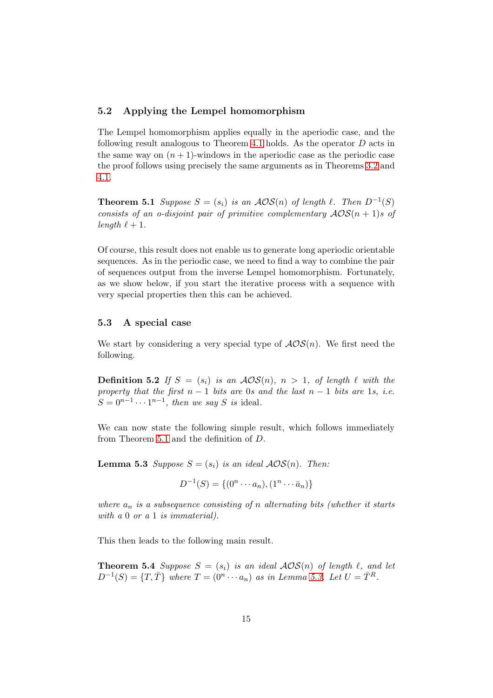#### 5.2 Applying the Lempel homomorphism

The Lempel homomorphism applies equally in the aperiodic case, and the following result analogous to Theorem [4.1](#page-7-3) holds. As the operator D acts in the same way on  $(n + 1)$ -windows in the aperiodic case as the periodic case the proof follows using precisely the same arguments as in Theorems [3.2](#page-6-0) and [4.1.](#page-7-3)

<span id="page-14-0"></span>**Theorem 5.1** Suppose  $S = (s_i)$  is an  $\mathcal{AOS}(n)$  of length  $\ell$ . Then  $D^{-1}(S)$ consists of an o-disjoint pair of primitive complementary  $AOS(n + 1)s$  of length  $\ell + 1$ .

Of course, this result does not enable us to generate long aperiodic orientable sequences. As in the periodic case, we need to find a way to combine the pair of sequences output from the inverse Lempel homomorphism. Fortunately, as we show below, if you start the iterative process with a sequence with very special properties then this can be achieved.

#### 5.3 A special case

We start by considering a very special type of  $\mathcal{AOS}(n)$ . We first need the following.

**Definition 5.2** If  $S = (s_i)$  is an  $AOS(n)$ ,  $n > 1$ , of length  $\ell$  with the property that the first  $n-1$  bits are 0s and the last  $n-1$  bits are 1s, i.e.  $S = 0^{n-1} \cdots 1^{n-1}$ , then we say S is ideal.

<span id="page-14-1"></span>We can now state the following simple result, which follows immediately from Theorem [5.1](#page-14-0) and the definition of D.

**Lemma 5.3** Suppose  $S = (s_i)$  is an ideal  $AOS(n)$ . Then:

 $D^{-1}(S) = \{(0^n \cdots a_n), (1^n \cdots \bar{a}_n)\}\$ 

where  $a_n$  is a subsequence consisting of n alternating bits (whether it starts with a 0 or a 1 is immaterial).

<span id="page-14-2"></span>This then leads to the following main result.

**Theorem 5.4** Suppose  $S = (s_i)$  is an ideal  $AOS(n)$  of length  $\ell$ , and let  $D^{-1}(S) = \{T, \overline{T}\}\$  where  $T = (0^n \cdots a_n)$  as in Lemma [5.3.](#page-14-1) Let  $U = \overline{T}^R$ .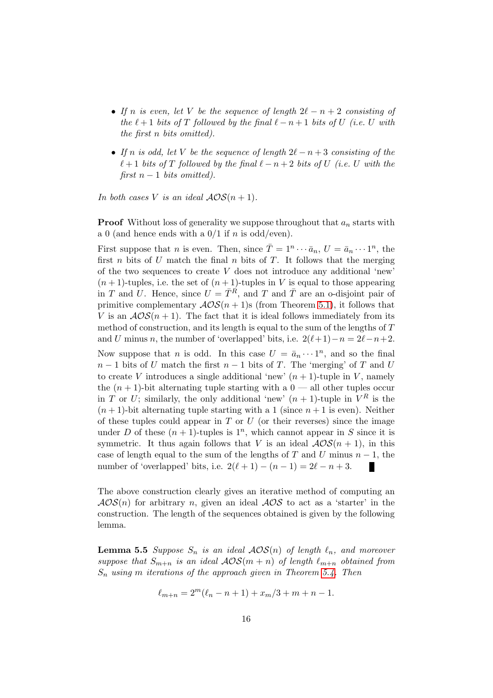- If n is even, let V be the sequence of length  $2\ell n + 2$  consisting of the  $\ell + 1$  bits of T followed by the final  $\ell - n + 1$  bits of U (i.e. U with the first n bits omitted).
- If n is odd, let V be the sequence of length  $2\ell n + 3$  consisting of the  $\ell+1$  bits of T followed by the final  $\ell-n+2$  bits of U (i.e. U with the first  $n-1$  bits omitted).

In both cases V is an ideal  $AOS(n + 1)$ .

**Proof** Without loss of generality we suppose throughout that  $a_n$  starts with a 0 (and hence ends with a  $0/1$  if n is odd/even).

First suppose that *n* is even. Then, since  $\overline{T} = 1^n \cdots \overline{a}_n$ ,  $U = \overline{a}_n \cdots 1^n$ , the first n bits of U match the final n bits of T. It follows that the merging of the two sequences to create V does not introduce any additional 'new'  $(n+1)$ -tuples, i.e. the set of  $(n+1)$ -tuples in V is equal to those appearing in T and U. Hence, since  $U = \overline{T}^R$ , and T and  $\overline{T}$  are an o-disjoint pair of primitive complementary  $\mathcal{AOS}(n+1)$ s (from Theorem [5.1\)](#page-14-0), it follows that V is an  $AOS(n + 1)$ . The fact that it is ideal follows immediately from its method of construction, and its length is equal to the sum of the lengths of T and U minus n, the number of 'overlapped' bits, i.e.  $2(\ell+1)-n=2\ell-n+2$ .

Now suppose that *n* is odd. In this case  $U = \bar{a}_n \cdots 1^n$ , and so the final  $n-1$  bits of U match the first  $n-1$  bits of T. The 'merging' of T and U to create V introduces a single additional 'new'  $(n + 1)$ -tuple in V, namely the  $(n + 1)$ -bit alternating tuple starting with a  $0$  — all other tuples occur in T or U; similarly, the only additional 'new'  $(n + 1)$ -tuple in  $V^R$  is the  $(n+1)$ -bit alternating tuple starting with a 1 (since  $n+1$  is even). Neither of these tuples could appear in  $T$  or  $U$  (or their reverses) since the image under D of these  $(n + 1)$ -tuples is  $1<sup>n</sup>$ , which cannot appear in S since it is symmetric. It thus again follows that V is an ideal  $\mathcal{AOS}(n+1)$ , in this case of length equal to the sum of the lengths of T and U minus  $n-1$ , the number of 'overlapped' bits, i.e.  $2(\ell+1) - (n-1) = 2\ell - n + 3$ . П

The above construction clearly gives an iterative method of computing an  $AOS(n)$  for arbitrary n, given an ideal  $AOS$  to act as a 'starter' in the construction. The length of the sequences obtained is given by the following lemma.

<span id="page-15-0"></span>**Lemma 5.5** Suppose  $S_n$  is an ideal  $AOS(n)$  of length  $\ell_n$ , and moreover suppose that  $S_{m+n}$  is an ideal  $AOS(m+n)$  of length  $\ell_{m+n}$  obtained from  $S_n$  using m iterations of the approach given in Theorem [5.4.](#page-14-2) Then

$$
\ell_{m+n} = 2^m (\ell_n - n + 1) + x_m/3 + m + n - 1.
$$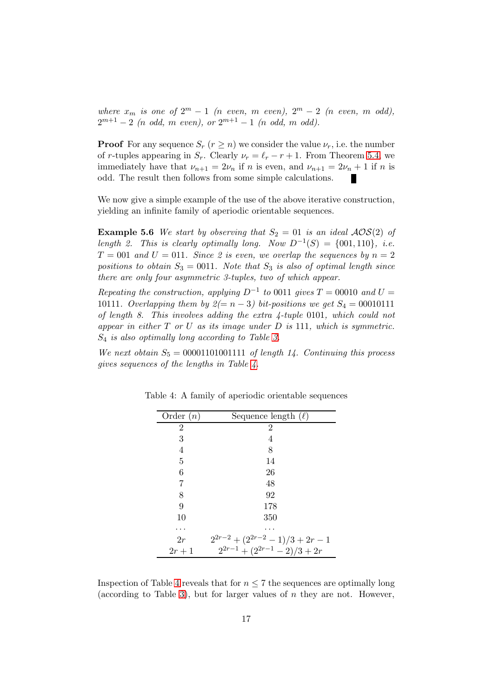where  $x_m$  is one of  $2^m - 1$  (n even, m even),  $2^m - 2$  (n even, m odd),  $2^{m+1} - 2$  (n odd, m even), or  $2^{m+1} - 1$  (n odd, m odd).

**Proof** For any sequence  $S_r$   $(r \geq n)$  we consider the value  $\nu_r$ , i.e. the number of r-tuples appearing in  $S_r$ . Clearly  $\nu_r = \ell_r - r + 1$ . From Theorem [5.4,](#page-14-2) we immediately have that  $\nu_{n+1} = 2\nu_n$  if n is even, and  $\nu_{n+1} = 2\nu_n + 1$  if n is odd. The result then follows from some simple calculations.

We now give a simple example of the use of the above iterative construction, yielding an infinite family of aperiodic orientable sequences.

**Example 5.6** We start by observing that  $S_2 = 01$  is an ideal  $AOS(2)$  of length 2. This is clearly optimally long. Now  $D^{-1}(S) = \{001, 110\}$ , i.e.  $T = 001$  and  $U = 011$ . Since 2 is even, we overlap the sequences by  $n = 2$ positions to obtain  $S_3 = 0011$ . Note that  $S_3$  is also of optimal length since there are only four asymmetric 3-tuples, two of which appear.

Repeating the construction, applying  $D^{-1}$  to 0011 gives  $T = 00010$  and  $U =$ 10111. Overlapping them by  $2(=n-3)$  bit-positions we get  $S_4 = 00010111$ of length 8. This involves adding the extra 4-tuple 0101, which could not appear in either  $T$  or  $U$  as its image under  $D$  is 111, which is symmetric. S<sup>4</sup> is also optimally long according to Table [3.](#page-13-0)

We next obtain  $S_5 = 00001101001111$  of length 14. Continuing this process gives sequences of the lengths in Table [4.](#page-16-0)

<span id="page-16-0"></span>

| Order $(n)$    | Sequence length $(\ell)$               |
|----------------|----------------------------------------|
| $\overline{2}$ | 2                                      |
| 3              | 4                                      |
| 4              | 8                                      |
| 5              | 14                                     |
| 6              | 26                                     |
| 7              | 48                                     |
| 8              | 92                                     |
| 9              | 178                                    |
| 10             | 350                                    |
|                |                                        |
| 2r             | $2^{2r-2} + (2^{2r-2} - 1)/3 + 2r - 1$ |
| $2r+1$         | $2^{2r-1} + (2^{2r-1} - 2)/3 + 2r$     |

Table 4: A family of aperiodic orientable sequences

Inspection of Table [4](#page-16-0) reveals that for  $n \leq 7$  the sequences are optimally long (according to Table [3\)](#page-13-0), but for larger values of  $n$  they are not. However,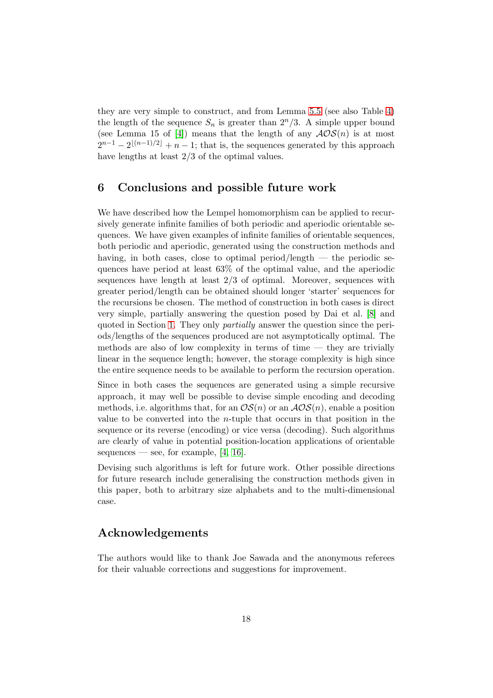they are very simple to construct, and from Lemma [5.5](#page-15-0) (see also Table [4\)](#page-16-0) the length of the sequence  $S_n$  is greater than  $2^n/3$ . A simple upper bound (see Lemma 15 of [\[4\]](#page-18-3)) means that the length of any  $AOS(n)$  is at most  $2^{n-1} - 2^{\lfloor (n-1)/2 \rfloor} + n - 1$ ; that is, the sequences generated by this approach have lengths at least 2/3 of the optimal values.

## <span id="page-17-0"></span>6 Conclusions and possible future work

We have described how the Lempel homomorphism can be applied to recursively generate infinite families of both periodic and aperiodic orientable sequences. We have given examples of infinite families of orientable sequences, both periodic and aperiodic, generated using the construction methods and having, in both cases, close to optimal period/length — the periodic sequences have period at least 63% of the optimal value, and the aperiodic sequences have length at least 2/3 of optimal. Moreover, sequences with greater period/length can be obtained should longer 'starter' sequences for the recursions be chosen. The method of construction in both cases is direct very simple, partially answering the question posed by Dai et al. [\[8\]](#page-18-4) and quoted in Section [1.](#page-0-0) They only partially answer the question since the periods/lengths of the sequences produced are not asymptotically optimal. The methods are also of low complexity in terms of time — they are trivially linear in the sequence length; however, the storage complexity is high since the entire sequence needs to be available to perform the recursion operation.

Since in both cases the sequences are generated using a simple recursive approach, it may well be possible to devise simple encoding and decoding methods, i.e. algorithms that, for an  $OS(n)$  or an  $AOS(n)$ , enable a position value to be converted into the n-tuple that occurs in that position in the sequence or its reverse (encoding) or vice versa (decoding). Such algorithms are clearly of value in potential position-location applications of orientable sequences — see, for example,  $[4, 16]$  $[4, 16]$ .

Devising such algorithms is left for future work. Other possible directions for future research include generalising the construction methods given in this paper, both to arbitrary size alphabets and to the multi-dimensional case.

## Acknowledgements

The authors would like to thank Joe Sawada and the anonymous referees for their valuable corrections and suggestions for improvement.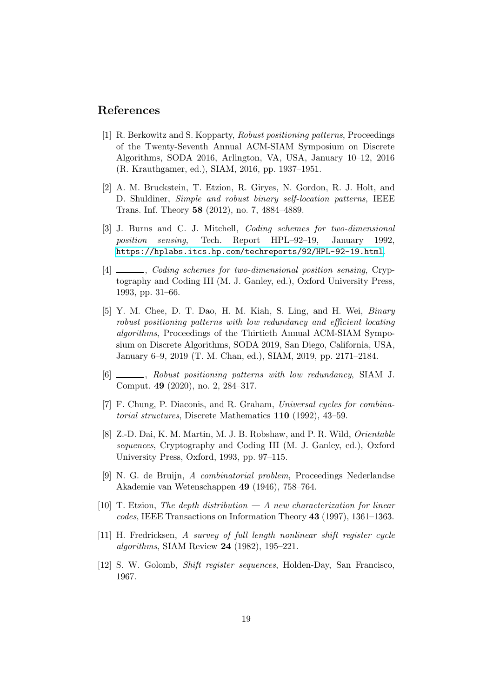### <span id="page-18-6"></span>References

- [1] R. Berkowitz and S. Kopparty, Robust positioning patterns, Proceedings of the Twenty-Seventh Annual ACM-SIAM Symposium on Discrete Algorithms, SODA 2016, Arlington, VA, USA, January 10–12, 2016 (R. Krauthgamer, ed.), SIAM, 2016, pp. 1937–1951.
- <span id="page-18-5"></span>[2] A. M. Bruckstein, T. Etzion, R. Giryes, N. Gordon, R. J. Holt, and D. Shuldiner, Simple and robust binary self-location patterns, IEEE Trans. Inf. Theory 58 (2012), no. 7, 4884–4889.
- <span id="page-18-2"></span>[3] J. Burns and C. J. Mitchell, Coding schemes for two-dimensional position sensing, Tech. Report HPL–92–19, January 1992, <https://hplabs.itcs.hp.com/techreports/92/HPL-92-19.html>.
- <span id="page-18-3"></span>[4]  $\Box$ , Coding schemes for two-dimensional position sensing, Cryptography and Coding III (M. J. Ganley, ed.), Oxford University Press, 1993, pp. 31–66.
- <span id="page-18-7"></span>[5] Y. M. Chee, D. T. Dao, H. M. Kiah, S. Ling, and H. Wei, Binary robust positioning patterns with low redundancy and efficient locating algorithms, Proceedings of the Thirtieth Annual ACM-SIAM Symposium on Discrete Algorithms, SODA 2019, San Diego, California, USA, January 6–9, 2019 (T. M. Chan, ed.), SIAM, 2019, pp. 2171–2184.
- <span id="page-18-8"></span>[6]  $\qquad \qquad$ , Robust positioning patterns with low redundancy, SIAM J. Comput. 49 (2020), no. 2, 284–317.
- <span id="page-18-9"></span><span id="page-18-4"></span>[7] F. Chung, P. Diaconis, and R. Graham, Universal cycles for combinatorial structures, Discrete Mathematics 110 (1992), 43–59.
- [8] Z.-D. Dai, K. M. Martin, M. J. B. Robshaw, and P. R. Wild, Orientable sequences, Cryptography and Coding III (M. J. Ganley, ed.), Oxford University Press, Oxford, 1993, pp. 97–115.
- <span id="page-18-10"></span>[9] N. G. de Bruijn, A combinatorial problem, Proceedings Nederlandse Akademie van Wetenschappen 49 (1946), 758–764.
- <span id="page-18-11"></span>[10] T. Etzion, The depth distribution  $-A$  new characterization for linear codes, IEEE Transactions on Information Theory 43 (1997), 1361–1363.
- <span id="page-18-0"></span>[11] H. Fredricksen, A survey of full length nonlinear shift register cycle algorithms, SIAM Review 24 (1982), 195–221.
- <span id="page-18-1"></span>[12] S. W. Golomb, Shift register sequences, Holden-Day, San Francisco, 1967.